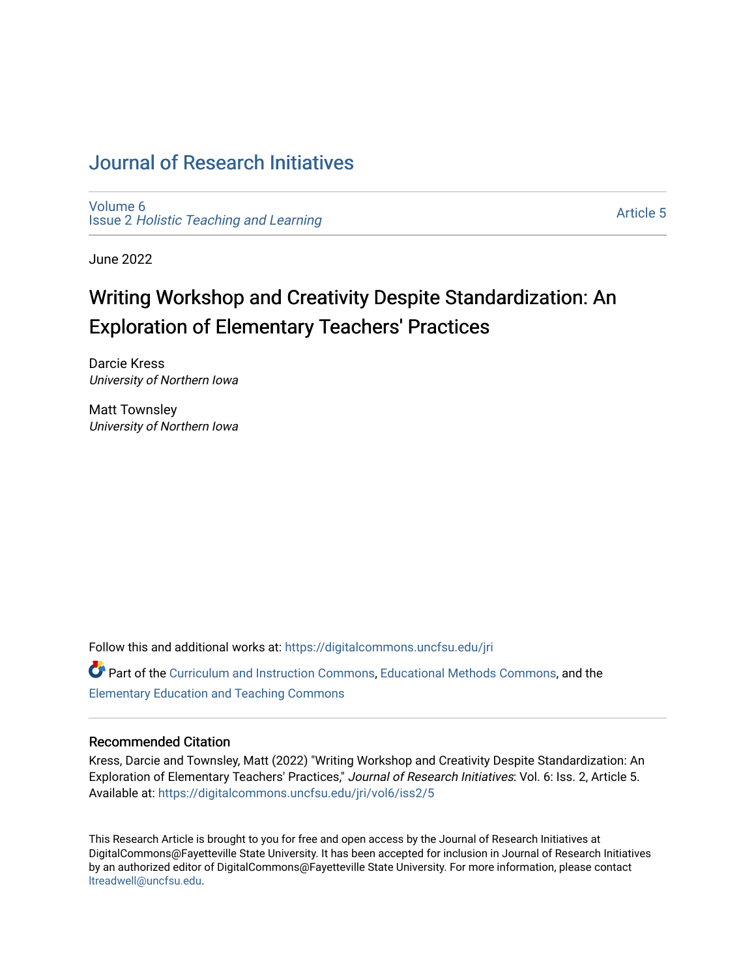# [Journal of Research Initiatives](https://digitalcommons.uncfsu.edu/jri)

[Volume 6](https://digitalcommons.uncfsu.edu/jri/vol6) Issue 2 [Holistic Teaching and Learning](https://digitalcommons.uncfsu.edu/jri/vol6/iss2)

[Article 5](https://digitalcommons.uncfsu.edu/jri/vol6/iss2/5) 

June 2022

# Writing Workshop and Creativity Despite Standardization: An Exploration of Elementary Teachers' Practices

Darcie Kress University of Northern Iowa

Matt Townsley University of Northern Iowa

Follow this and additional works at: [https://digitalcommons.uncfsu.edu/jri](https://digitalcommons.uncfsu.edu/jri?utm_source=digitalcommons.uncfsu.edu%2Fjri%2Fvol6%2Fiss2%2F5&utm_medium=PDF&utm_campaign=PDFCoverPages) 

**Part of the [Curriculum and Instruction Commons,](https://network.bepress.com/hgg/discipline/786?utm_source=digitalcommons.uncfsu.edu%2Fjri%2Fvol6%2Fiss2%2F5&utm_medium=PDF&utm_campaign=PDFCoverPages) [Educational Methods Commons,](https://network.bepress.com/hgg/discipline/1227?utm_source=digitalcommons.uncfsu.edu%2Fjri%2Fvol6%2Fiss2%2F5&utm_medium=PDF&utm_campaign=PDFCoverPages) and the** [Elementary Education and Teaching Commons](https://network.bepress.com/hgg/discipline/805?utm_source=digitalcommons.uncfsu.edu%2Fjri%2Fvol6%2Fiss2%2F5&utm_medium=PDF&utm_campaign=PDFCoverPages)

### Recommended Citation

Kress, Darcie and Townsley, Matt (2022) "Writing Workshop and Creativity Despite Standardization: An Exploration of Elementary Teachers' Practices," Journal of Research Initiatives: Vol. 6: Iss. 2, Article 5. Available at: [https://digitalcommons.uncfsu.edu/jri/vol6/iss2/5](https://digitalcommons.uncfsu.edu/jri/vol6/iss2/5?utm_source=digitalcommons.uncfsu.edu%2Fjri%2Fvol6%2Fiss2%2F5&utm_medium=PDF&utm_campaign=PDFCoverPages) 

This Research Article is brought to you for free and open access by the Journal of Research Initiatives at DigitalCommons@Fayetteville State University. It has been accepted for inclusion in Journal of Research Initiatives by an authorized editor of DigitalCommons@Fayetteville State University. For more information, please contact [ltreadwell@uncfsu.edu](mailto:ltreadwell@uncfsu.edu).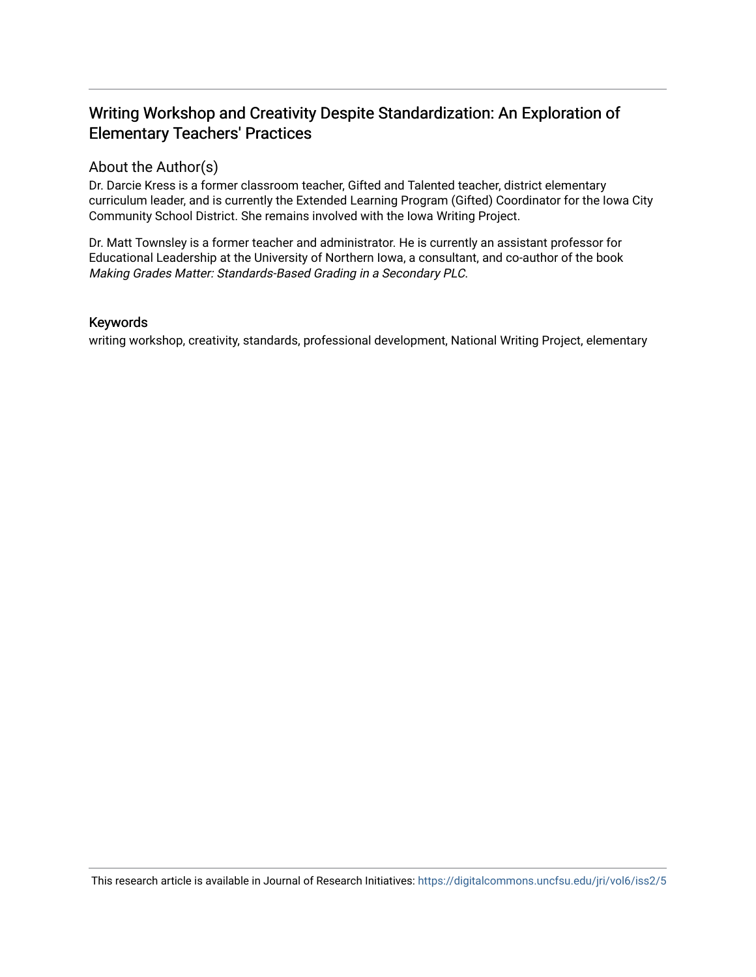# Writing Workshop and Creativity Despite Standardization: An Exploration of Elementary Teachers' Practices

# About the Author(s)

Dr. Darcie Kress is a former classroom teacher, Gifted and Talented teacher, district elementary curriculum leader, and is currently the Extended Learning Program (Gifted) Coordinator for the Iowa City Community School District. She remains involved with the Iowa Writing Project.

Dr. Matt Townsley is a former teacher and administrator. He is currently an assistant professor for Educational Leadership at the University of Northern Iowa, a consultant, and co-author of the book Making Grades Matter: Standards-Based Grading in a Secondary PLC.

# Keywords

writing workshop, creativity, standards, professional development, National Writing Project, elementary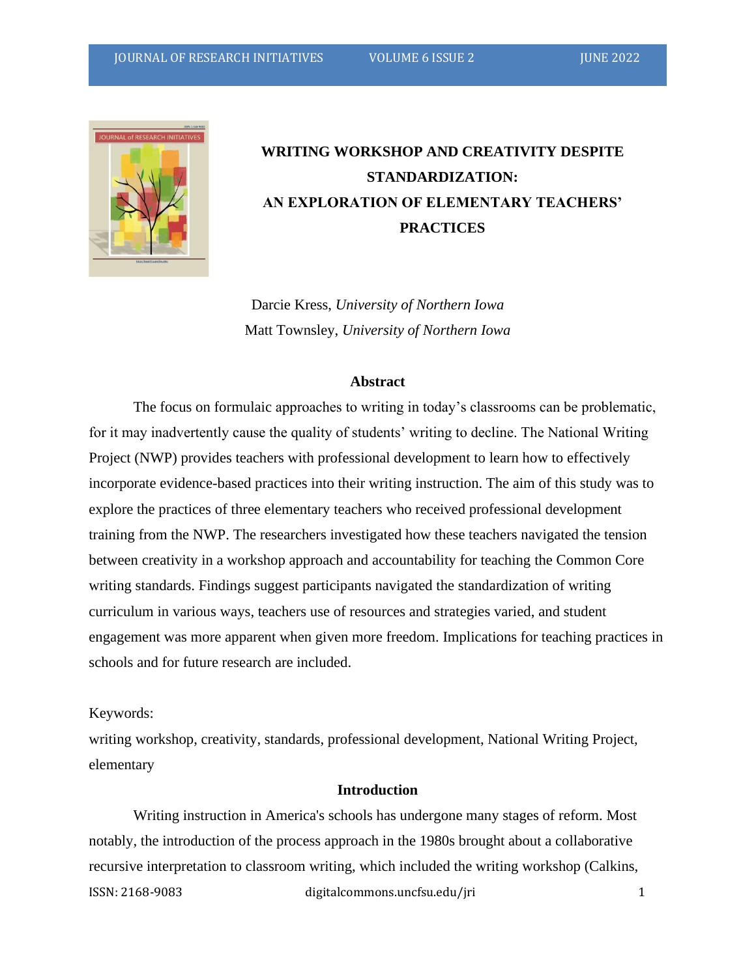

# **WRITING WORKSHOP AND CREATIVITY DESPITE STANDARDIZATION: AN EXPLORATION OF ELEMENTARY TEACHERS' PRACTICES**

Darcie Kress, *University of Northern Iowa* Matt Townsley, *University of Northern Iowa*

#### **Abstract**

The focus on formulaic approaches to writing in today's classrooms can be problematic, for it may inadvertently cause the quality of students' writing to decline. The National Writing Project (NWP) provides teachers with professional development to learn how to effectively incorporate evidence-based practices into their writing instruction. The aim of this study was to explore the practices of three elementary teachers who received professional development training from the NWP. The researchers investigated how these teachers navigated the tension between creativity in a workshop approach and accountability for teaching the Common Core writing standards. Findings suggest participants navigated the standardization of writing curriculum in various ways, teachers use of resources and strategies varied, and student engagement was more apparent when given more freedom. Implications for teaching practices in schools and for future research are included.

### Keywords:

writing workshop, creativity, standards, professional development, National Writing Project, elementary

# **Introduction**

ISSN: 2168-9083 digitalcommons.uncfsu.edu/jri 1 Writing instruction in America's schools has undergone many stages of reform. Most notably, the introduction of the process approach in the 1980s brought about a collaborative recursive interpretation to classroom writing, which included the writing workshop (Calkins,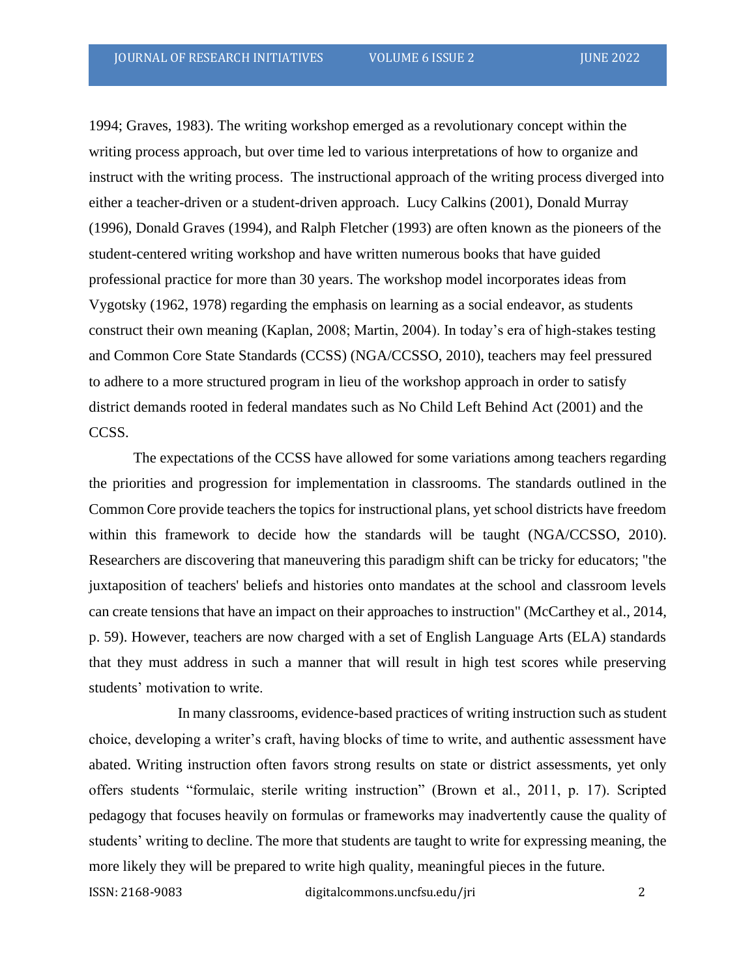1994; Graves, 1983). The writing workshop emerged as a revolutionary concept within the writing process approach, but over time led to various interpretations of how to organize and instruct with the writing process. The instructional approach of the writing process diverged into either a teacher-driven or a student-driven approach. Lucy Calkins (2001), Donald Murray (1996), Donald Graves (1994), and Ralph Fletcher (1993) are often known as the pioneers of the student-centered writing workshop and have written numerous books that have guided professional practice for more than 30 years. The workshop model incorporates ideas from Vygotsky (1962, 1978) regarding the emphasis on learning as a social endeavor, as students construct their own meaning (Kaplan, 2008; Martin, 2004). In today's era of high-stakes testing and Common Core State Standards (CCSS) (NGA/CCSSO, 2010), teachers may feel pressured to adhere to a more structured program in lieu of the workshop approach in order to satisfy district demands rooted in federal mandates such as No Child Left Behind Act (2001) and the CCSS.

The expectations of the CCSS have allowed for some variations among teachers regarding the priorities and progression for implementation in classrooms. The standards outlined in the Common Core provide teachers the topics for instructional plans, yet school districts have freedom within this framework to decide how the standards will be taught (NGA/CCSSO, 2010). Researchers are discovering that maneuvering this paradigm shift can be tricky for educators; "the juxtaposition of teachers' beliefs and histories onto mandates at the school and classroom levels can create tensions that have an impact on their approaches to instruction" (McCarthey et al., 2014, p. 59). However, teachers are now charged with a set of English Language Arts (ELA) standards that they must address in such a manner that will result in high test scores while preserving students' motivation to write.

In many classrooms, evidence-based practices of writing instruction such as student choice, developing a writer's craft, having blocks of time to write, and authentic assessment have abated. Writing instruction often favors strong results on state or district assessments, yet only offers students "formulaic, sterile writing instruction" (Brown et al., 2011, p. 17). Scripted pedagogy that focuses heavily on formulas or frameworks may inadvertently cause the quality of students' writing to decline. The more that students are taught to write for expressing meaning, the more likely they will be prepared to write high quality, meaningful pieces in the future.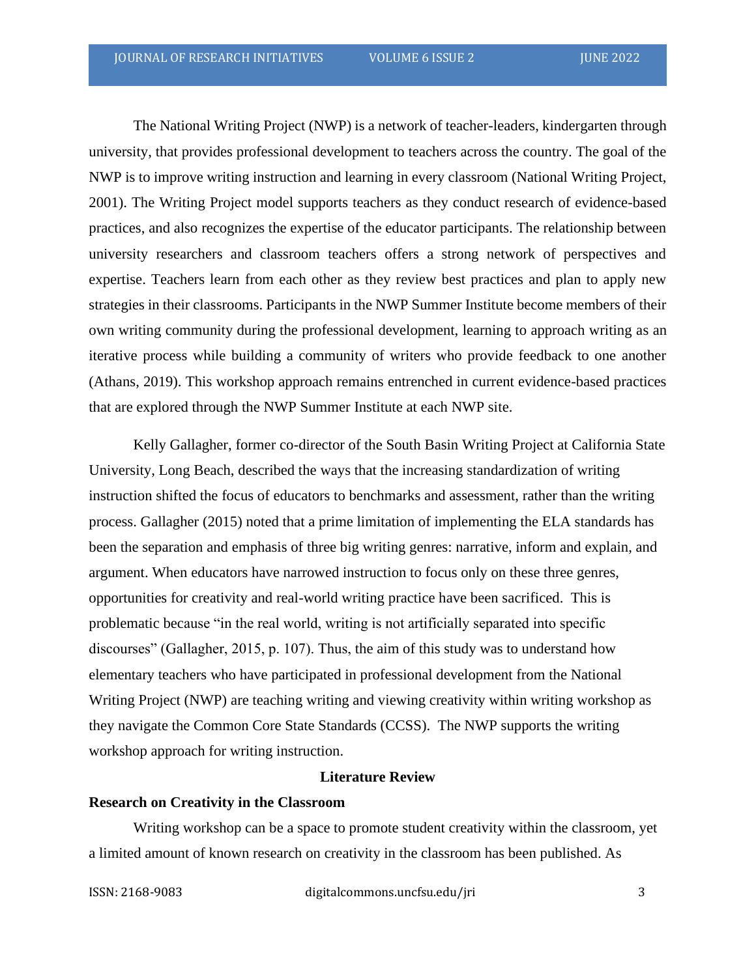The National Writing Project (NWP) is a network of teacher-leaders, kindergarten through university, that provides professional development to teachers across the country. The goal of the NWP is to improve writing instruction and learning in every classroom (National Writing Project, 2001). The Writing Project model supports teachers as they conduct research of evidence-based practices, and also recognizes the expertise of the educator participants. The relationship between university researchers and classroom teachers offers a strong network of perspectives and expertise. Teachers learn from each other as they review best practices and plan to apply new strategies in their classrooms. Participants in the NWP Summer Institute become members of their own writing community during the professional development, learning to approach writing as an iterative process while building a community of writers who provide feedback to one another (Athans, 2019). This workshop approach remains entrenched in current evidence-based practices that are explored through the NWP Summer Institute at each NWP site.

Kelly Gallagher, former co-director of the South Basin Writing Project at California State University, Long Beach, described the ways that the increasing standardization of writing instruction shifted the focus of educators to benchmarks and assessment, rather than the writing process. Gallagher (2015) noted that a prime limitation of implementing the ELA standards has been the separation and emphasis of three big writing genres: narrative, inform and explain, and argument. When educators have narrowed instruction to focus only on these three genres, opportunities for creativity and real-world writing practice have been sacrificed. This is problematic because "in the real world, writing is not artificially separated into specific discourses" (Gallagher, 2015, p. 107). Thus, the aim of this study was to understand how elementary teachers who have participated in professional development from the National Writing Project (NWP) are teaching writing and viewing creativity within writing workshop as they navigate the Common Core State Standards (CCSS). The NWP supports the writing workshop approach for writing instruction.

# **Literature Review**

# **Research on Creativity in the Classroom**

Writing workshop can be a space to promote student creativity within the classroom, yet a limited amount of known research on creativity in the classroom has been published. As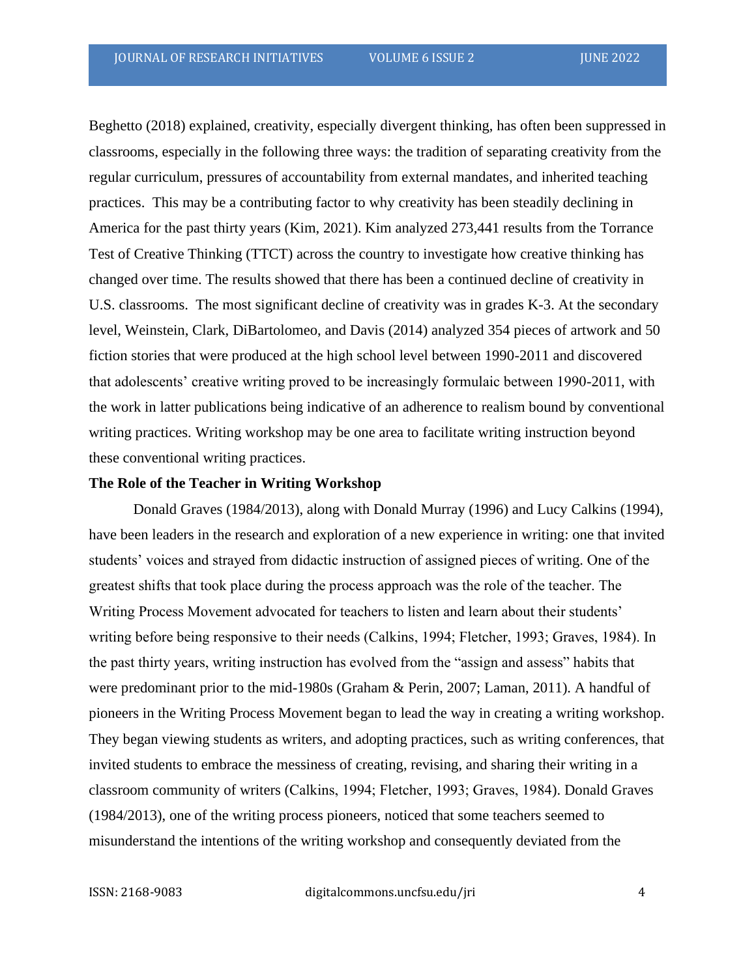Beghetto (2018) explained, creativity, especially divergent thinking, has often been suppressed in classrooms, especially in the following three ways: the tradition of separating creativity from the regular curriculum, pressures of accountability from external mandates, and inherited teaching practices. This may be a contributing factor to why creativity has been steadily declining in America for the past thirty years (Kim, 2021). Kim analyzed 273,441 results from the Torrance Test of Creative Thinking (TTCT) across the country to investigate how creative thinking has changed over time. The results showed that there has been a continued decline of creativity in U.S. classrooms. The most significant decline of creativity was in grades K-3. At the secondary level, Weinstein, Clark, DiBartolomeo, and Davis (2014) analyzed 354 pieces of artwork and 50 fiction stories that were produced at the high school level between 1990-2011 and discovered that adolescents' creative writing proved to be increasingly formulaic between 1990-2011, with the work in latter publications being indicative of an adherence to realism bound by conventional writing practices. Writing workshop may be one area to facilitate writing instruction beyond these conventional writing practices.

#### **The Role of the Teacher in Writing Workshop**

Donald Graves (1984/2013), along with Donald Murray (1996) and Lucy Calkins (1994), have been leaders in the research and exploration of a new experience in writing: one that invited students' voices and strayed from didactic instruction of assigned pieces of writing. One of the greatest shifts that took place during the process approach was the role of the teacher. The Writing Process Movement advocated for teachers to listen and learn about their students' writing before being responsive to their needs (Calkins, 1994; Fletcher, 1993; Graves, 1984). In the past thirty years, writing instruction has evolved from the "assign and assess" habits that were predominant prior to the mid-1980s (Graham & Perin, 2007; Laman, 2011). A handful of pioneers in the Writing Process Movement began to lead the way in creating a writing workshop. They began viewing students as writers, and adopting practices, such as writing conferences, that invited students to embrace the messiness of creating, revising, and sharing their writing in a classroom community of writers (Calkins, 1994; Fletcher, 1993; Graves, 1984). Donald Graves (1984/2013), one of the writing process pioneers, noticed that some teachers seemed to misunderstand the intentions of the writing workshop and consequently deviated from the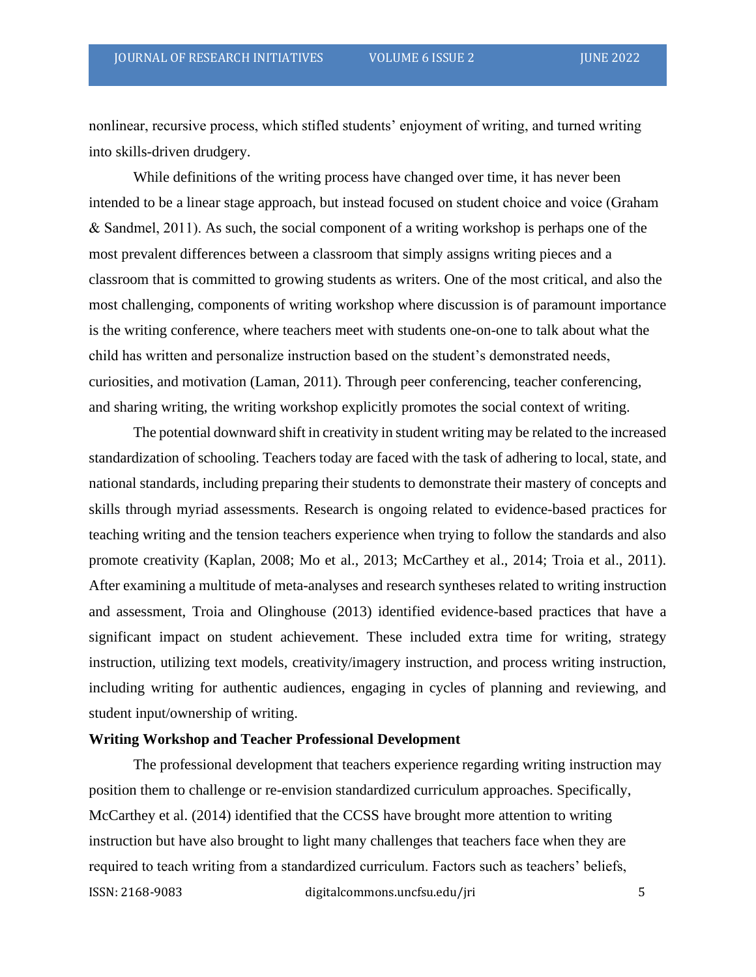nonlinear, recursive process, which stifled students' enjoyment of writing, and turned writing into skills-driven drudgery.

While definitions of the writing process have changed over time, it has never been intended to be a linear stage approach, but instead focused on student choice and voice (Graham & Sandmel, 2011). As such, the social component of a writing workshop is perhaps one of the most prevalent differences between a classroom that simply assigns writing pieces and a classroom that is committed to growing students as writers. One of the most critical, and also the most challenging, components of writing workshop where discussion is of paramount importance is the writing conference, where teachers meet with students one-on-one to talk about what the child has written and personalize instruction based on the student's demonstrated needs, curiosities, and motivation (Laman, 2011). Through peer conferencing, teacher conferencing, and sharing writing, the writing workshop explicitly promotes the social context of writing.

The potential downward shift in creativity in student writing may be related to the increased standardization of schooling. Teachers today are faced with the task of adhering to local, state, and national standards, including preparing their students to demonstrate their mastery of concepts and skills through myriad assessments. Research is ongoing related to evidence-based practices for teaching writing and the tension teachers experience when trying to follow the standards and also promote creativity (Kaplan, 2008; Mo et al., 2013; McCarthey et al., 2014; Troia et al., 2011). After examining a multitude of meta-analyses and research syntheses related to writing instruction and assessment, Troia and Olinghouse (2013) identified evidence-based practices that have a significant impact on student achievement. These included extra time for writing, strategy instruction, utilizing text models, creativity/imagery instruction, and process writing instruction, including writing for authentic audiences, engaging in cycles of planning and reviewing, and student input/ownership of writing.

#### **Writing Workshop and Teacher Professional Development**

ISSN: 2168-9083 digitalcommons.uncfsu.edu/jri 5 The professional development that teachers experience regarding writing instruction may position them to challenge or re-envision standardized curriculum approaches. Specifically, McCarthey et al. (2014) identified that the CCSS have brought more attention to writing instruction but have also brought to light many challenges that teachers face when they are required to teach writing from a standardized curriculum. Factors such as teachers' beliefs,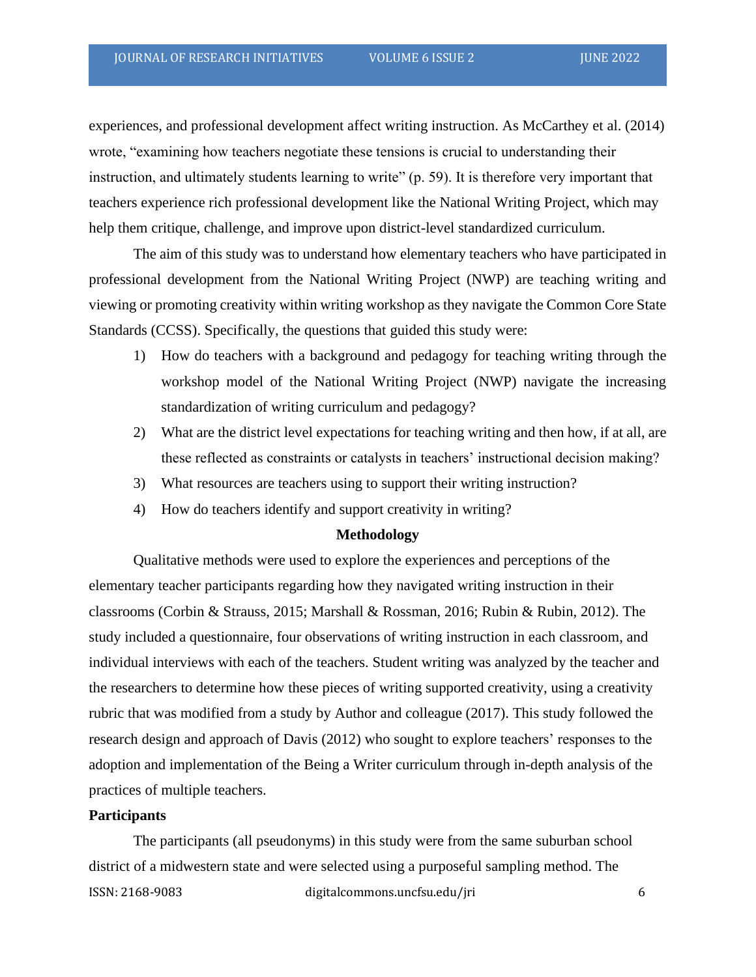experiences, and professional development affect writing instruction. As McCarthey et al. (2014) wrote, "examining how teachers negotiate these tensions is crucial to understanding their instruction, and ultimately students learning to write" (p. 59). It is therefore very important that teachers experience rich professional development like the National Writing Project, which may help them critique, challenge, and improve upon district-level standardized curriculum.

The aim of this study was to understand how elementary teachers who have participated in professional development from the National Writing Project (NWP) are teaching writing and viewing or promoting creativity within writing workshop as they navigate the Common Core State Standards (CCSS). Specifically, the questions that guided this study were:

- 1) How do teachers with a background and pedagogy for teaching writing through the workshop model of the National Writing Project (NWP) navigate the increasing standardization of writing curriculum and pedagogy?
- 2) What are the district level expectations for teaching writing and then how, if at all, are these reflected as constraints or catalysts in teachers' instructional decision making?
- 3) What resources are teachers using to support their writing instruction?
- 4) How do teachers identify and support creativity in writing?

#### **Methodology**

Qualitative methods were used to explore the experiences and perceptions of the elementary teacher participants regarding how they navigated writing instruction in their classrooms (Corbin & Strauss, 2015; Marshall & Rossman, 2016; Rubin & Rubin, 2012). The study included a questionnaire, four observations of writing instruction in each classroom, and individual interviews with each of the teachers. Student writing was analyzed by the teacher and the researchers to determine how these pieces of writing supported creativity, using a creativity rubric that was modified from a study by Author and colleague (2017). This study followed the research design and approach of Davis (2012) who sought to explore teachers' responses to the adoption and implementation of the Being a Writer curriculum through in-depth analysis of the practices of multiple teachers.

# **Participants**

ISSN: 2168-9083 digitalcommons.uncfsu.edu/jri 6 The participants (all pseudonyms) in this study were from the same suburban school district of a midwestern state and were selected using a purposeful sampling method. The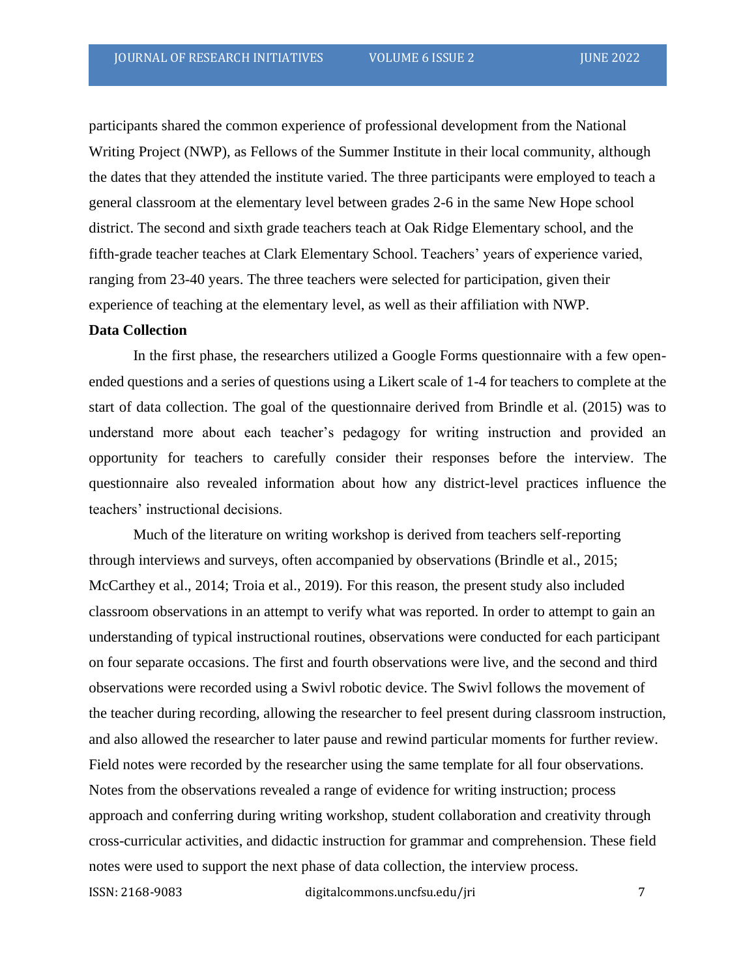participants shared the common experience of professional development from the National Writing Project (NWP), as Fellows of the Summer Institute in their local community, although the dates that they attended the institute varied. The three participants were employed to teach a general classroom at the elementary level between grades 2-6 in the same New Hope school district. The second and sixth grade teachers teach at Oak Ridge Elementary school, and the fifth-grade teacher teaches at Clark Elementary School. Teachers' years of experience varied, ranging from 23-40 years. The three teachers were selected for participation, given their experience of teaching at the elementary level, as well as their affiliation with NWP.

#### **Data Collection**

In the first phase, the researchers utilized a Google Forms questionnaire with a few openended questions and a series of questions using a Likert scale of 1-4 for teachers to complete at the start of data collection. The goal of the questionnaire derived from Brindle et al. (2015) was to understand more about each teacher's pedagogy for writing instruction and provided an opportunity for teachers to carefully consider their responses before the interview. The questionnaire also revealed information about how any district-level practices influence the teachers' instructional decisions.

ISSN: 2168-9083 digitalcommons.uncfsu.edu/jri 7 Much of the literature on writing workshop is derived from teachers self-reporting through interviews and surveys, often accompanied by observations (Brindle et al., 2015; McCarthey et al., 2014; Troia et al., 2019). For this reason, the present study also included classroom observations in an attempt to verify what was reported. In order to attempt to gain an understanding of typical instructional routines, observations were conducted for each participant on four separate occasions. The first and fourth observations were live, and the second and third observations were recorded using a Swivl robotic device. The Swivl follows the movement of the teacher during recording, allowing the researcher to feel present during classroom instruction, and also allowed the researcher to later pause and rewind particular moments for further review. Field notes were recorded by the researcher using the same template for all four observations. Notes from the observations revealed a range of evidence for writing instruction; process approach and conferring during writing workshop, student collaboration and creativity through cross-curricular activities, and didactic instruction for grammar and comprehension. These field notes were used to support the next phase of data collection, the interview process.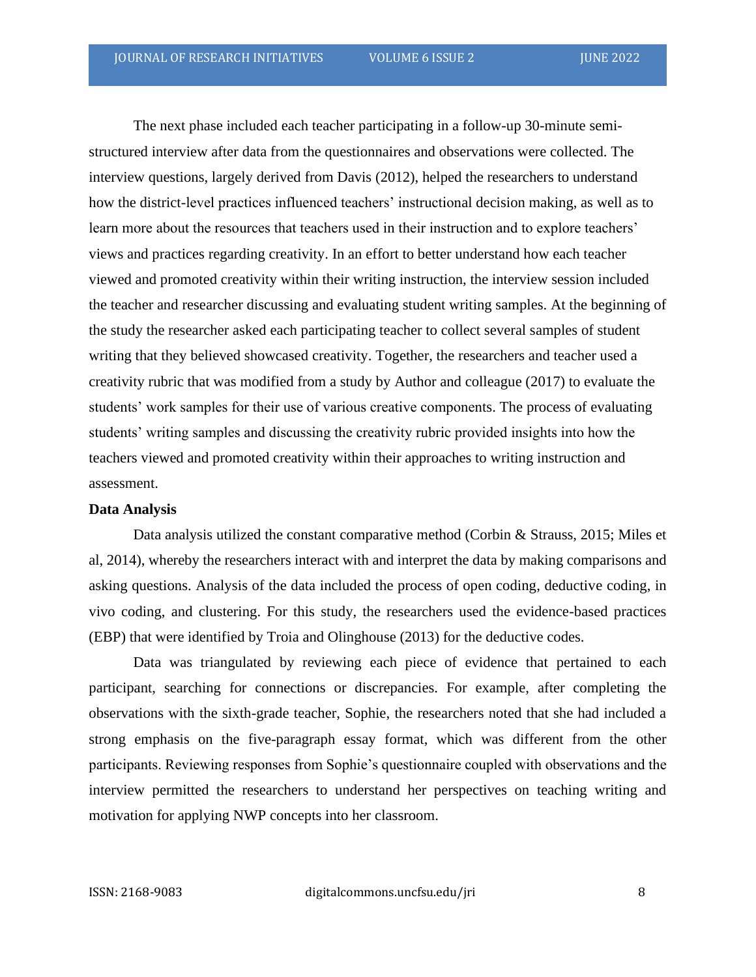The next phase included each teacher participating in a follow-up 30-minute semistructured interview after data from the questionnaires and observations were collected. The interview questions, largely derived from Davis (2012), helped the researchers to understand how the district-level practices influenced teachers' instructional decision making, as well as to learn more about the resources that teachers used in their instruction and to explore teachers' views and practices regarding creativity. In an effort to better understand how each teacher viewed and promoted creativity within their writing instruction, the interview session included the teacher and researcher discussing and evaluating student writing samples. At the beginning of the study the researcher asked each participating teacher to collect several samples of student writing that they believed showcased creativity. Together, the researchers and teacher used a creativity rubric that was modified from a study by Author and colleague (2017) to evaluate the students' work samples for their use of various creative components. The process of evaluating students' writing samples and discussing the creativity rubric provided insights into how the teachers viewed and promoted creativity within their approaches to writing instruction and assessment.

#### **Data Analysis**

Data analysis utilized the constant comparative method (Corbin & Strauss, 2015; Miles et al, 2014), whereby the researchers interact with and interpret the data by making comparisons and asking questions. Analysis of the data included the process of open coding, deductive coding, in vivo coding, and clustering. For this study, the researchers used the evidence-based practices (EBP) that were identified by Troia and Olinghouse (2013) for the deductive codes.

Data was triangulated by reviewing each piece of evidence that pertained to each participant, searching for connections or discrepancies. For example, after completing the observations with the sixth-grade teacher, Sophie, the researchers noted that she had included a strong emphasis on the five-paragraph essay format, which was different from the other participants. Reviewing responses from Sophie's questionnaire coupled with observations and the interview permitted the researchers to understand her perspectives on teaching writing and motivation for applying NWP concepts into her classroom.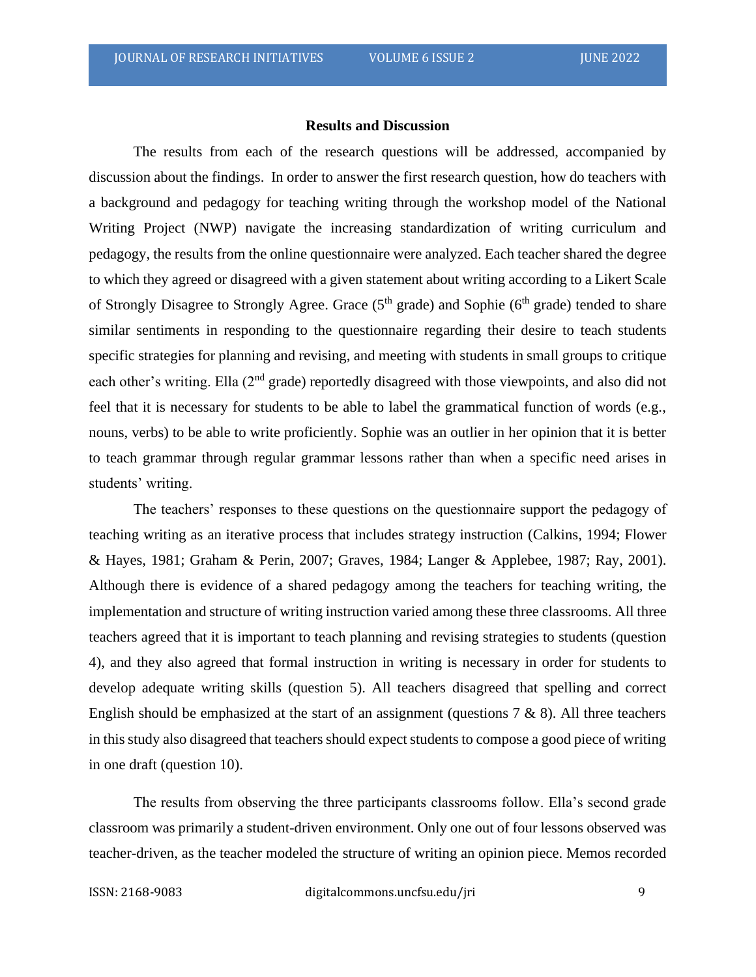### **Results and Discussion**

The results from each of the research questions will be addressed, accompanied by discussion about the findings. In order to answer the first research question, how do teachers with a background and pedagogy for teaching writing through the workshop model of the National Writing Project (NWP) navigate the increasing standardization of writing curriculum and pedagogy, the results from the online questionnaire were analyzed. Each teacher shared the degree to which they agreed or disagreed with a given statement about writing according to a Likert Scale of Strongly Disagree to Strongly Agree. Grace  $(5<sup>th</sup> \text{ grade})$  and Sophie  $(6<sup>th</sup> \text{ grade})$  tended to share similar sentiments in responding to the questionnaire regarding their desire to teach students specific strategies for planning and revising, and meeting with students in small groups to critique each other's writing. Ella (2<sup>nd</sup> grade) reportedly disagreed with those viewpoints, and also did not feel that it is necessary for students to be able to label the grammatical function of words (e.g., nouns, verbs) to be able to write proficiently. Sophie was an outlier in her opinion that it is better to teach grammar through regular grammar lessons rather than when a specific need arises in students' writing.

The teachers' responses to these questions on the questionnaire support the pedagogy of teaching writing as an iterative process that includes strategy instruction (Calkins, 1994; Flower & Hayes, 1981; Graham & Perin, 2007; Graves, 1984; Langer & Applebee, 1987; Ray, 2001). Although there is evidence of a shared pedagogy among the teachers for teaching writing, the implementation and structure of writing instruction varied among these three classrooms. All three teachers agreed that it is important to teach planning and revising strategies to students (question 4), and they also agreed that formal instruction in writing is necessary in order for students to develop adequate writing skills (question 5). All teachers disagreed that spelling and correct English should be emphasized at the start of an assignment (questions  $7 \& 8$ ). All three teachers in this study also disagreed that teachers should expect students to compose a good piece of writing in one draft (question 10).

The results from observing the three participants classrooms follow. Ella's second grade classroom was primarily a student-driven environment. Only one out of four lessons observed was teacher-driven, as the teacher modeled the structure of writing an opinion piece. Memos recorded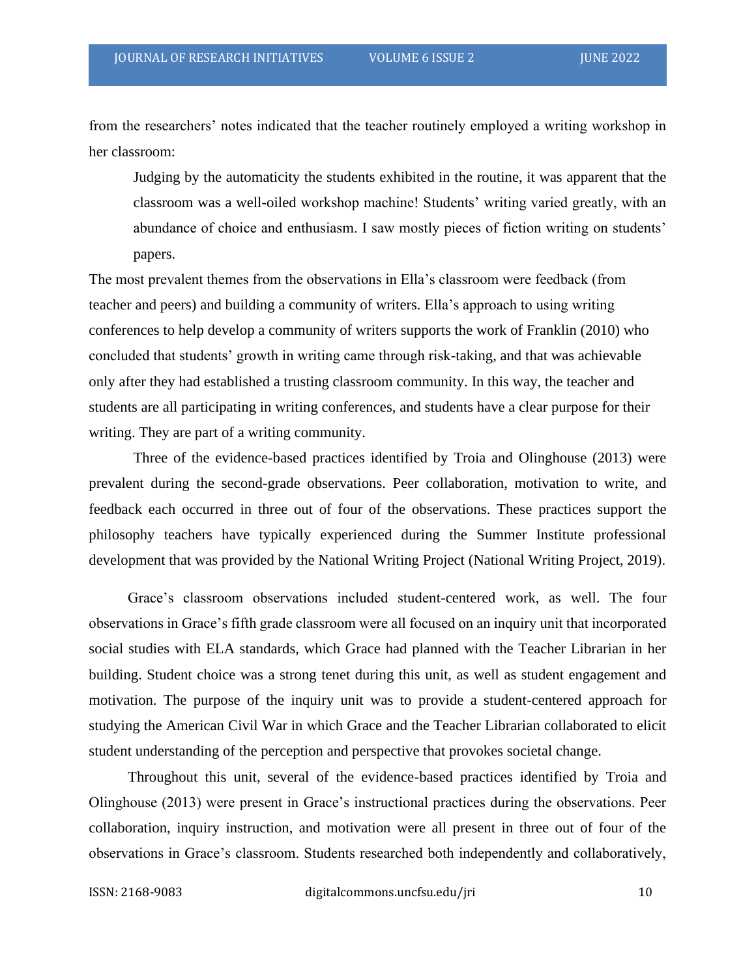from the researchers' notes indicated that the teacher routinely employed a writing workshop in her classroom:

Judging by the automaticity the students exhibited in the routine, it was apparent that the classroom was a well-oiled workshop machine! Students' writing varied greatly, with an abundance of choice and enthusiasm. I saw mostly pieces of fiction writing on students' papers.

The most prevalent themes from the observations in Ella's classroom were feedback (from teacher and peers) and building a community of writers. Ella's approach to using writing conferences to help develop a community of writers supports the work of Franklin (2010) who concluded that students' growth in writing came through risk-taking, and that was achievable only after they had established a trusting classroom community. In this way, the teacher and students are all participating in writing conferences, and students have a clear purpose for their writing. They are part of a writing community.

Three of the evidence-based practices identified by Troia and Olinghouse (2013) were prevalent during the second-grade observations. Peer collaboration, motivation to write, and feedback each occurred in three out of four of the observations. These practices support the philosophy teachers have typically experienced during the Summer Institute professional development that was provided by the National Writing Project (National Writing Project, 2019).

Grace's classroom observations included student-centered work, as well. The four observations in Grace's fifth grade classroom were all focused on an inquiry unit that incorporated social studies with ELA standards, which Grace had planned with the Teacher Librarian in her building. Student choice was a strong tenet during this unit, as well as student engagement and motivation. The purpose of the inquiry unit was to provide a student-centered approach for studying the American Civil War in which Grace and the Teacher Librarian collaborated to elicit student understanding of the perception and perspective that provokes societal change.

Throughout this unit, several of the evidence-based practices identified by Troia and Olinghouse (2013) were present in Grace's instructional practices during the observations. Peer collaboration, inquiry instruction, and motivation were all present in three out of four of the observations in Grace's classroom. Students researched both independently and collaboratively,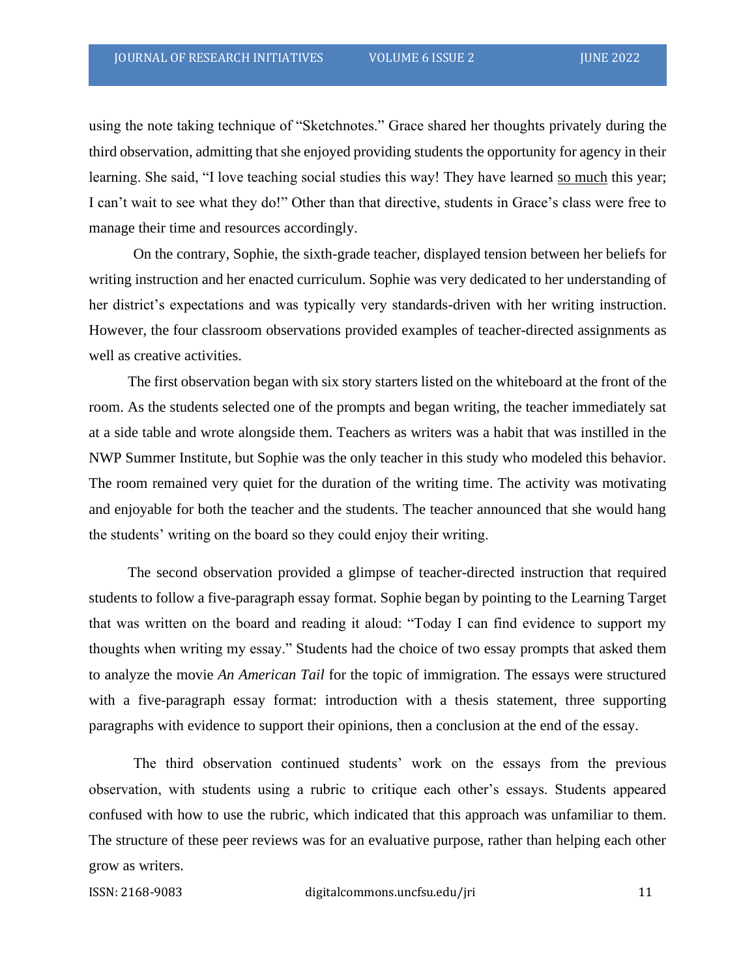using the note taking technique of "Sketchnotes." Grace shared her thoughts privately during the third observation, admitting that she enjoyed providing students the opportunity for agency in their learning. She said, "I love teaching social studies this way! They have learned so much this year; I can't wait to see what they do!" Other than that directive, students in Grace's class were free to manage their time and resources accordingly.

On the contrary, Sophie, the sixth-grade teacher, displayed tension between her beliefs for writing instruction and her enacted curriculum. Sophie was very dedicated to her understanding of her district's expectations and was typically very standards-driven with her writing instruction. However, the four classroom observations provided examples of teacher-directed assignments as well as creative activities.

The first observation began with six story starters listed on the whiteboard at the front of the room. As the students selected one of the prompts and began writing, the teacher immediately sat at a side table and wrote alongside them. Teachers as writers was a habit that was instilled in the NWP Summer Institute, but Sophie was the only teacher in this study who modeled this behavior. The room remained very quiet for the duration of the writing time. The activity was motivating and enjoyable for both the teacher and the students. The teacher announced that she would hang the students' writing on the board so they could enjoy their writing.

The second observation provided a glimpse of teacher-directed instruction that required students to follow a five-paragraph essay format. Sophie began by pointing to the Learning Target that was written on the board and reading it aloud: "Today I can find evidence to support my thoughts when writing my essay." Students had the choice of two essay prompts that asked them to analyze the movie *An American Tail* for the topic of immigration. The essays were structured with a five-paragraph essay format: introduction with a thesis statement, three supporting paragraphs with evidence to support their opinions, then a conclusion at the end of the essay.

The third observation continued students' work on the essays from the previous observation, with students using a rubric to critique each other's essays. Students appeared confused with how to use the rubric, which indicated that this approach was unfamiliar to them. The structure of these peer reviews was for an evaluative purpose, rather than helping each other grow as writers.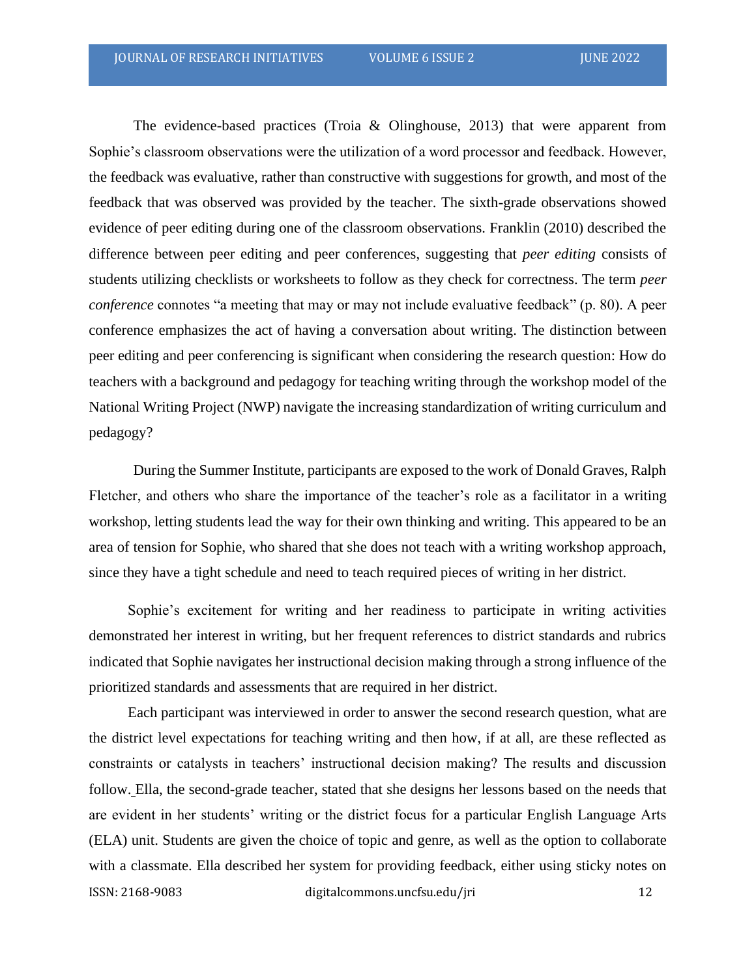The evidence-based practices (Troia & Olinghouse, 2013) that were apparent from Sophie's classroom observations were the utilization of a word processor and feedback. However, the feedback was evaluative, rather than constructive with suggestions for growth, and most of the feedback that was observed was provided by the teacher. The sixth-grade observations showed evidence of peer editing during one of the classroom observations. Franklin (2010) described the difference between peer editing and peer conferences, suggesting that *peer editing* consists of students utilizing checklists or worksheets to follow as they check for correctness. The term *peer conference* connotes "a meeting that may or may not include evaluative feedback" (p. 80). A peer conference emphasizes the act of having a conversation about writing. The distinction between peer editing and peer conferencing is significant when considering the research question: How do teachers with a background and pedagogy for teaching writing through the workshop model of the National Writing Project (NWP) navigate the increasing standardization of writing curriculum and pedagogy?

During the Summer Institute, participants are exposed to the work of Donald Graves, Ralph Fletcher, and others who share the importance of the teacher's role as a facilitator in a writing workshop, letting students lead the way for their own thinking and writing. This appeared to be an area of tension for Sophie, who shared that she does not teach with a writing workshop approach, since they have a tight schedule and need to teach required pieces of writing in her district.

Sophie's excitement for writing and her readiness to participate in writing activities demonstrated her interest in writing, but her frequent references to district standards and rubrics indicated that Sophie navigates her instructional decision making through a strong influence of the prioritized standards and assessments that are required in her district.

ISSN: 2168-9083 digitalcommons.uncfsu.edu/jri 12 Each participant was interviewed in order to answer the second research question, what are the district level expectations for teaching writing and then how, if at all, are these reflected as constraints or catalysts in teachers' instructional decision making? The results and discussion follow. Ella, the second-grade teacher, stated that she designs her lessons based on the needs that are evident in her students' writing or the district focus for a particular English Language Arts (ELA) unit. Students are given the choice of topic and genre, as well as the option to collaborate with a classmate. Ella described her system for providing feedback, either using sticky notes on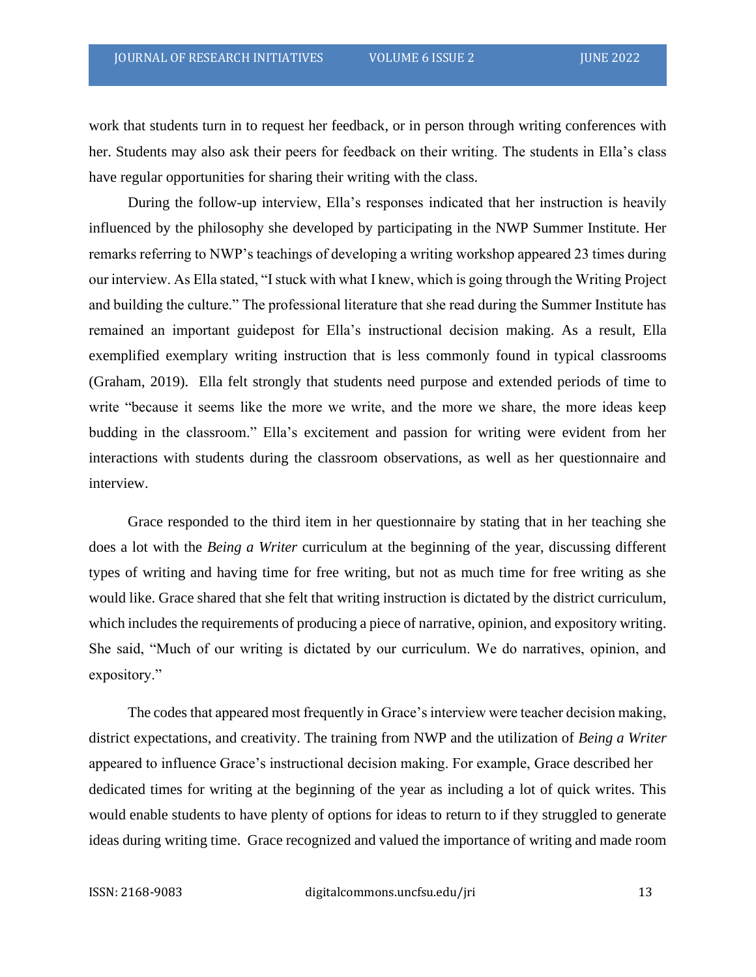work that students turn in to request her feedback, or in person through writing conferences with her. Students may also ask their peers for feedback on their writing. The students in Ella's class have regular opportunities for sharing their writing with the class.

During the follow-up interview, Ella's responses indicated that her instruction is heavily influenced by the philosophy she developed by participating in the NWP Summer Institute. Her remarks referring to NWP's teachings of developing a writing workshop appeared 23 times during our interview. As Ella stated, "I stuck with what I knew, which is going through the Writing Project and building the culture." The professional literature that she read during the Summer Institute has remained an important guidepost for Ella's instructional decision making. As a result, Ella exemplified exemplary writing instruction that is less commonly found in typical classrooms (Graham, 2019). Ella felt strongly that students need purpose and extended periods of time to write "because it seems like the more we write, and the more we share, the more ideas keep budding in the classroom." Ella's excitement and passion for writing were evident from her interactions with students during the classroom observations, as well as her questionnaire and interview.

Grace responded to the third item in her questionnaire by stating that in her teaching she does a lot with the *Being a Writer* curriculum at the beginning of the year, discussing different types of writing and having time for free writing, but not as much time for free writing as she would like. Grace shared that she felt that writing instruction is dictated by the district curriculum, which includes the requirements of producing a piece of narrative, opinion, and expository writing. She said, "Much of our writing is dictated by our curriculum. We do narratives, opinion, and expository."

The codes that appeared most frequently in Grace's interview were teacher decision making, district expectations, and creativity. The training from NWP and the utilization of *Being a Writer* appeared to influence Grace's instructional decision making. For example, Grace described her dedicated times for writing at the beginning of the year as including a lot of quick writes. This would enable students to have plenty of options for ideas to return to if they struggled to generate ideas during writing time. Grace recognized and valued the importance of writing and made room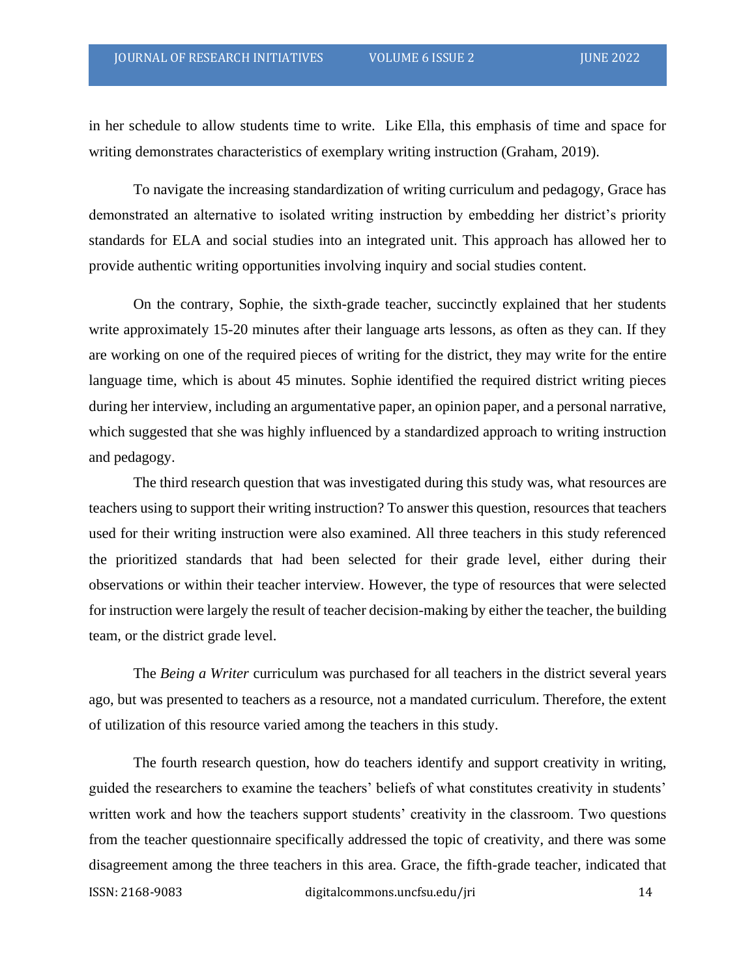in her schedule to allow students time to write. Like Ella, this emphasis of time and space for writing demonstrates characteristics of exemplary writing instruction (Graham, 2019).

To navigate the increasing standardization of writing curriculum and pedagogy, Grace has demonstrated an alternative to isolated writing instruction by embedding her district's priority standards for ELA and social studies into an integrated unit. This approach has allowed her to provide authentic writing opportunities involving inquiry and social studies content.

On the contrary, Sophie, the sixth-grade teacher, succinctly explained that her students write approximately 15-20 minutes after their language arts lessons, as often as they can. If they are working on one of the required pieces of writing for the district, they may write for the entire language time, which is about 45 minutes. Sophie identified the required district writing pieces during her interview, including an argumentative paper, an opinion paper, and a personal narrative, which suggested that she was highly influenced by a standardized approach to writing instruction and pedagogy.

The third research question that was investigated during this study was, what resources are teachers using to support their writing instruction? To answer this question, resources that teachers used for their writing instruction were also examined. All three teachers in this study referenced the prioritized standards that had been selected for their grade level, either during their observations or within their teacher interview. However, the type of resources that were selected for instruction were largely the result of teacher decision-making by either the teacher, the building team, or the district grade level.

The *Being a Writer* curriculum was purchased for all teachers in the district several years ago, but was presented to teachers as a resource, not a mandated curriculum. Therefore, the extent of utilization of this resource varied among the teachers in this study.

ISSN: 2168-9083 digitalcommons.uncfsu.edu/jri 14 The fourth research question, how do teachers identify and support creativity in writing, guided the researchers to examine the teachers' beliefs of what constitutes creativity in students' written work and how the teachers support students' creativity in the classroom. Two questions from the teacher questionnaire specifically addressed the topic of creativity, and there was some disagreement among the three teachers in this area. Grace, the fifth-grade teacher, indicated that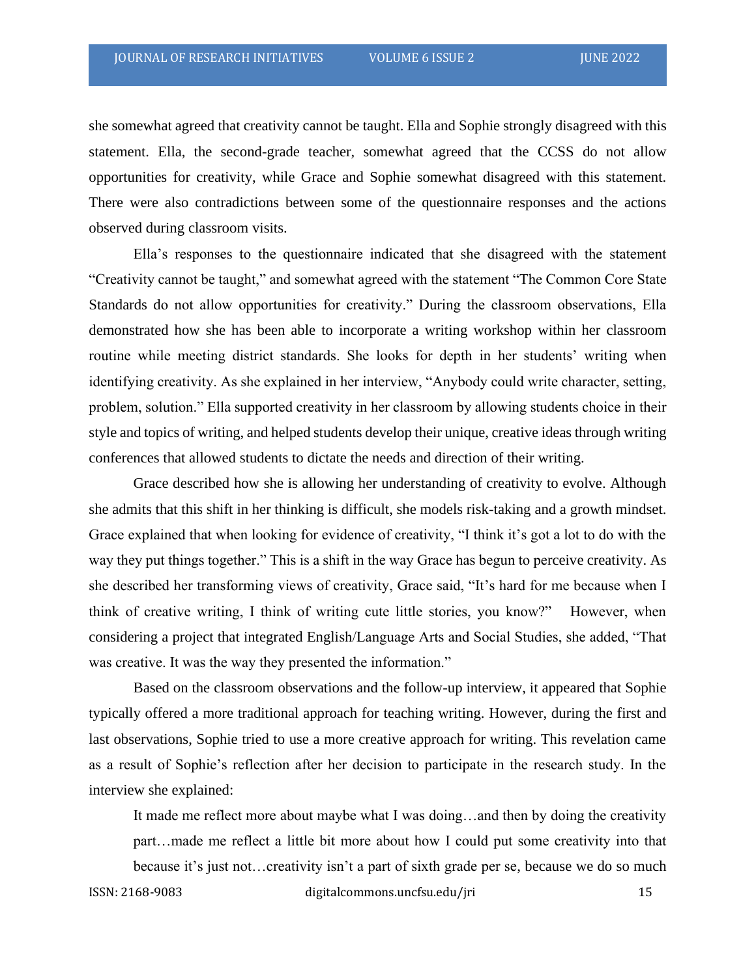she somewhat agreed that creativity cannot be taught. Ella and Sophie strongly disagreed with this statement. Ella, the second-grade teacher, somewhat agreed that the CCSS do not allow opportunities for creativity, while Grace and Sophie somewhat disagreed with this statement. There were also contradictions between some of the questionnaire responses and the actions observed during classroom visits.

Ella's responses to the questionnaire indicated that she disagreed with the statement "Creativity cannot be taught," and somewhat agreed with the statement "The Common Core State Standards do not allow opportunities for creativity." During the classroom observations, Ella demonstrated how she has been able to incorporate a writing workshop within her classroom routine while meeting district standards. She looks for depth in her students' writing when identifying creativity. As she explained in her interview, "Anybody could write character, setting, problem, solution." Ella supported creativity in her classroom by allowing students choice in their style and topics of writing, and helped students develop their unique, creative ideas through writing conferences that allowed students to dictate the needs and direction of their writing.

Grace described how she is allowing her understanding of creativity to evolve. Although she admits that this shift in her thinking is difficult, she models risk-taking and a growth mindset. Grace explained that when looking for evidence of creativity, "I think it's got a lot to do with the way they put things together." This is a shift in the way Grace has begun to perceive creativity. As she described her transforming views of creativity, Grace said, "It's hard for me because when I think of creative writing, I think of writing cute little stories, you know?" However, when considering a project that integrated English/Language Arts and Social Studies, she added, "That was creative. It was the way they presented the information."

Based on the classroom observations and the follow-up interview, it appeared that Sophie typically offered a more traditional approach for teaching writing. However, during the first and last observations, Sophie tried to use a more creative approach for writing. This revelation came as a result of Sophie's reflection after her decision to participate in the research study. In the interview she explained:

It made me reflect more about maybe what I was doing…and then by doing the creativity part…made me reflect a little bit more about how I could put some creativity into that

ISSN: 2168-9083 digitalcommons.uncfsu.edu/jri 15 because it's just not…creativity isn't a part of sixth grade per se, because we do so much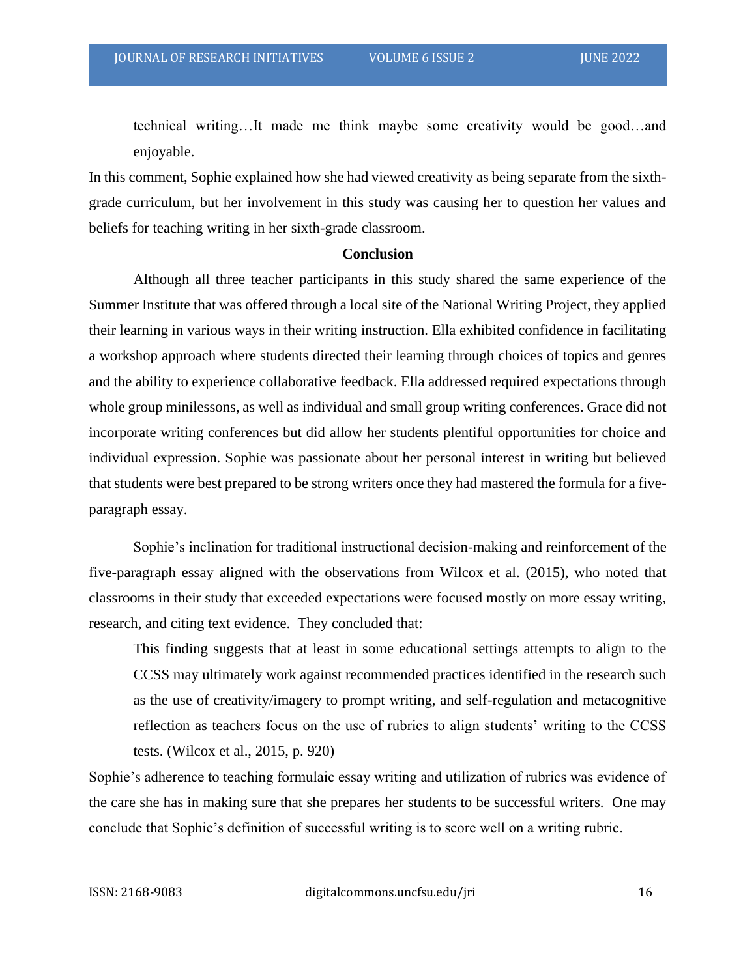technical writing…It made me think maybe some creativity would be good…and enjoyable.

In this comment, Sophie explained how she had viewed creativity as being separate from the sixthgrade curriculum, but her involvement in this study was causing her to question her values and beliefs for teaching writing in her sixth-grade classroom.

### **Conclusion**

Although all three teacher participants in this study shared the same experience of the Summer Institute that was offered through a local site of the National Writing Project, they applied their learning in various ways in their writing instruction. Ella exhibited confidence in facilitating a workshop approach where students directed their learning through choices of topics and genres and the ability to experience collaborative feedback. Ella addressed required expectations through whole group minilessons, as well as individual and small group writing conferences. Grace did not incorporate writing conferences but did allow her students plentiful opportunities for choice and individual expression. Sophie was passionate about her personal interest in writing but believed that students were best prepared to be strong writers once they had mastered the formula for a fiveparagraph essay.

Sophie's inclination for traditional instructional decision-making and reinforcement of the five-paragraph essay aligned with the observations from Wilcox et al. (2015), who noted that classrooms in their study that exceeded expectations were focused mostly on more essay writing, research, and citing text evidence. They concluded that:

This finding suggests that at least in some educational settings attempts to align to the CCSS may ultimately work against recommended practices identified in the research such as the use of creativity/imagery to prompt writing, and self-regulation and metacognitive reflection as teachers focus on the use of rubrics to align students' writing to the CCSS tests. (Wilcox et al., 2015, p. 920)

Sophie's adherence to teaching formulaic essay writing and utilization of rubrics was evidence of the care she has in making sure that she prepares her students to be successful writers. One may conclude that Sophie's definition of successful writing is to score well on a writing rubric.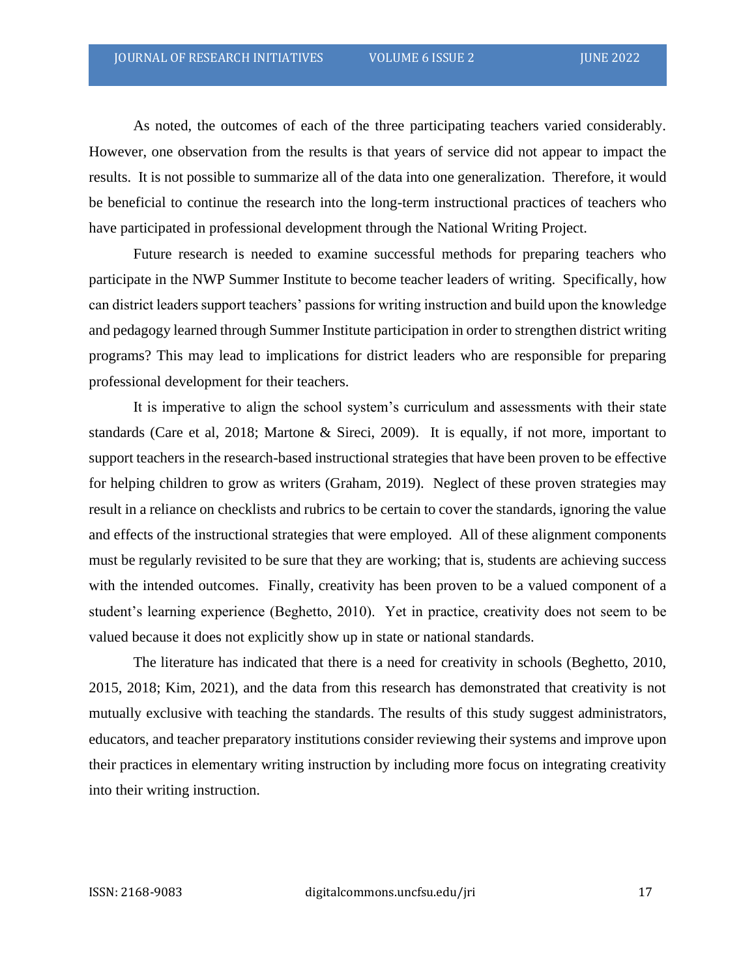As noted, the outcomes of each of the three participating teachers varied considerably. However, one observation from the results is that years of service did not appear to impact the results. It is not possible to summarize all of the data into one generalization. Therefore, it would be beneficial to continue the research into the long-term instructional practices of teachers who have participated in professional development through the National Writing Project.

Future research is needed to examine successful methods for preparing teachers who participate in the NWP Summer Institute to become teacher leaders of writing. Specifically, how can district leaders support teachers' passions for writing instruction and build upon the knowledge and pedagogy learned through Summer Institute participation in order to strengthen district writing programs? This may lead to implications for district leaders who are responsible for preparing professional development for their teachers.

It is imperative to align the school system's curriculum and assessments with their state standards (Care et al, 2018; Martone & Sireci, 2009). It is equally, if not more, important to support teachers in the research-based instructional strategies that have been proven to be effective for helping children to grow as writers (Graham, 2019). Neglect of these proven strategies may result in a reliance on checklists and rubrics to be certain to cover the standards, ignoring the value and effects of the instructional strategies that were employed. All of these alignment components must be regularly revisited to be sure that they are working; that is, students are achieving success with the intended outcomes. Finally, creativity has been proven to be a valued component of a student's learning experience (Beghetto, 2010). Yet in practice, creativity does not seem to be valued because it does not explicitly show up in state or national standards.

The literature has indicated that there is a need for creativity in schools (Beghetto, 2010, 2015, 2018; Kim, 2021), and the data from this research has demonstrated that creativity is not mutually exclusive with teaching the standards. The results of this study suggest administrators, educators, and teacher preparatory institutions consider reviewing their systems and improve upon their practices in elementary writing instruction by including more focus on integrating creativity into their writing instruction.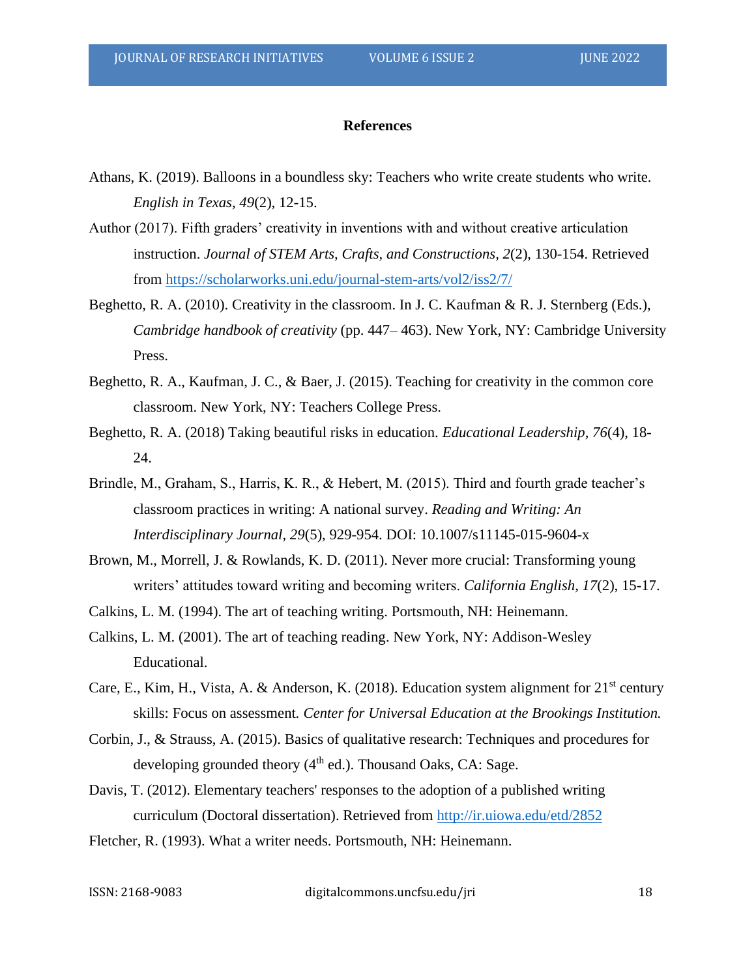#### **References**

- Athans, K. (2019). Balloons in a boundless sky: Teachers who write create students who write. *English in Texas, 49*(2), 12-15.
- Author (2017). Fifth graders' creativity in inventions with and without creative articulation instruction. *Journal of STEM Arts, Crafts, and Constructions, 2*(2), 130-154. Retrieved from<https://scholarworks.uni.edu/journal-stem-arts/vol2/iss2/7/>
- Beghetto, R. A. (2010). Creativity in the classroom. In J. C. Kaufman & R. J. Sternberg (Eds.), *Cambridge handbook of creativity* (pp. 447– 463). New York, NY: Cambridge University Press.
- Beghetto, R. A., Kaufman, J. C., & Baer, J. (2015). Teaching for creativity in the common core classroom. New York, NY: Teachers College Press.
- Beghetto, R. A. (2018) Taking beautiful risks in education. *Educational Leadership, 76*(4), 18- 24.
- Brindle, M., Graham, S., Harris, K. R., & Hebert, M. (2015). Third and fourth grade teacher's classroom practices in writing: A national survey. *Reading and Writing: An Interdisciplinary Journal, 29*(5), 929-954. DOI: 10.1007/s11145-015-9604-x
- Brown, M., Morrell, J. & Rowlands, K. D. (2011). Never more crucial: Transforming young writers' attitudes toward writing and becoming writers. *California English, 17*(2), 15-17.
- Calkins, L. M. (1994). The art of teaching writing. Portsmouth, NH: Heinemann.
- Calkins, L. M. (2001). The art of teaching reading. New York, NY: Addison-Wesley Educational.
- Care, E., Kim, H., Vista, A. & Anderson, K. (2018). Education system alignment for  $21<sup>st</sup>$  century skills: Focus on assessment*. Center for Universal Education at the Brookings Institution.*
- Corbin, J., & Strauss, A. (2015). Basics of qualitative research: Techniques and procedures for developing grounded theory  $(4<sup>th</sup>$  ed.). Thousand Oaks, CA: Sage.
- Davis, T. (2012). Elementary teachers' responses to the adoption of a published writing curriculum (Doctoral dissertation). Retrieved from<http://ir.uiowa.edu/etd/2852>
- Fletcher, R. (1993). What a writer needs. Portsmouth, NH: Heinemann.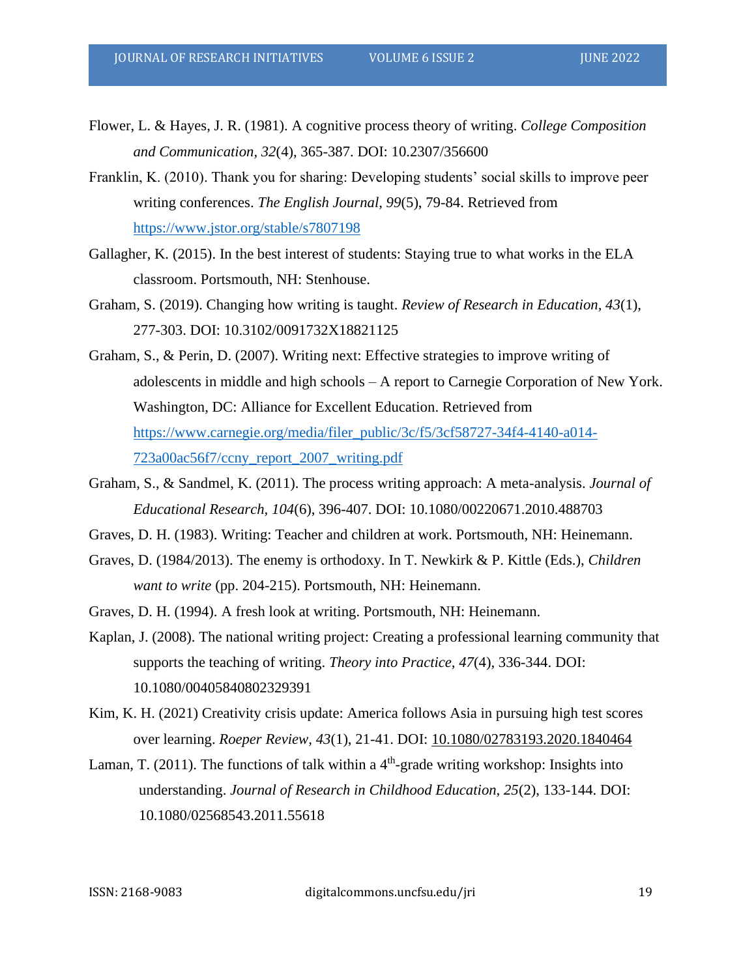- Flower, L. & Hayes, J. R. (1981). A cognitive process theory of writing. *College Composition and Communication, 32*(4), 365-387. DOI: 10.2307/356600
- Franklin, K. (2010). Thank you for sharing: Developing students' social skills to improve peer writing conferences. *The English Journal, 99*(5), 79-84. Retrieved from <https://www.jstor.org/stable/s7807198>
- Gallagher, K. (2015). In the best interest of students: Staying true to what works in the ELA classroom. Portsmouth, NH: Stenhouse.
- Graham, S. (2019). Changing how writing is taught. *Review of Research in Education, 43*(1), 277-303. DOI: 10.3102/0091732X18821125
- Graham, S., & Perin, D. (2007). Writing next: Effective strategies to improve writing of adolescents in middle and high schools – A report to Carnegie Corporation of New York. Washington, DC: Alliance for Excellent Education. Retrieved from [https://www.carnegie.org/media/filer\\_public/3c/f5/3cf58727-34f4-4140-a014-](https://www.carnegie.org/media/filer_public/3c/f5/3cf58727-34f4-4140-a014-723a00ac56f7/ccny_report_2007_writing.pdf) [723a00ac56f7/ccny\\_report\\_2007\\_writing.pdf](https://www.carnegie.org/media/filer_public/3c/f5/3cf58727-34f4-4140-a014-723a00ac56f7/ccny_report_2007_writing.pdf)
- Graham, S., & Sandmel, K. (2011). The process writing approach: A meta-analysis. *Journal of Educational Research, 104*(6), 396-407. DOI: 10.1080/00220671.2010.488703
- Graves, D. H. (1983). Writing: Teacher and children at work. Portsmouth, NH: Heinemann.
- Graves, D. (1984/2013). The enemy is orthodoxy. In T. Newkirk & P. Kittle (Eds.), *Children want to write* (pp. 204-215). Portsmouth, NH: Heinemann.
- Graves, D. H. (1994). A fresh look at writing. Portsmouth, NH: Heinemann.
- Kaplan, J. (2008). The national writing project: Creating a professional learning community that supports the teaching of writing. *Theory into Practice, 47*(4), 336-344. DOI: 10.1080/00405840802329391
- Kim, K. H. (2021) Creativity crisis update: America follows Asia in pursuing high test scores over learning. *Roeper Review, 43*(1), 21-41. DOI: [10.1080/02783193.2020.1840464](https://doi.org/10.1080/02783193.2020.1840464)
- Laman, T. (2011). The functions of talk within a  $4<sup>th</sup>$ -grade writing workshop: Insights into understanding. *Journal of Research in Childhood Education, 25*(2), 133-144. DOI: 10.1080/02568543.2011.55618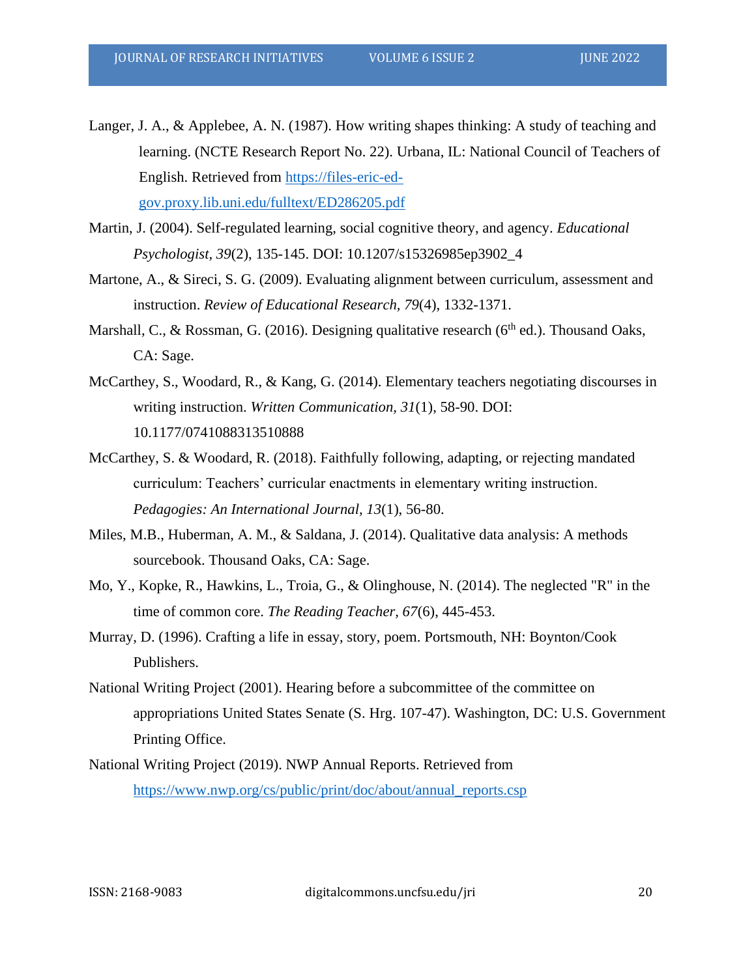- Langer, J. A., & Applebee, A. N. (1987). How writing shapes thinking: A study of teaching and learning. (NCTE Research Report No. 22). Urbana, IL: National Council of Teachers of English. Retrieved from [https://files-eric-ed](https://files-eric-ed-gov.proxy.lib.uni.edu/fulltext/ED286205.pdf)[gov.proxy.lib.uni.edu/fulltext/ED286205.pdf](https://files-eric-ed-gov.proxy.lib.uni.edu/fulltext/ED286205.pdf)
- Martin, J. (2004). Self-regulated learning, social cognitive theory, and agency. *Educational Psychologist, 39*(2), 135-145. DOI: 10.1207/s15326985ep3902\_4
- Martone, A., & Sireci, S. G. (2009). Evaluating alignment between curriculum, assessment and instruction. *Review of Educational Research, 79*(4), 1332-1371.
- Marshall, C., & Rossman, G. (2016). Designing qualitative research ( $6<sup>th</sup>$  ed.). Thousand Oaks, CA: Sage.
- McCarthey, S., Woodard, R., & Kang, G. (2014). Elementary teachers negotiating discourses in writing instruction. *Written Communication, 31*(1), 58-90. DOI: 10.1177/0741088313510888
- McCarthey, S. & Woodard, R. (2018). Faithfully following, adapting, or rejecting mandated curriculum: Teachers' curricular enactments in elementary writing instruction. *Pedagogies: An International Journal, 13*(1), 56-80.
- Miles, M.B., Huberman, A. M., & Saldana, J. (2014). Qualitative data analysis: A methods sourcebook. Thousand Oaks, CA: Sage.
- Mo, Y., Kopke, R., Hawkins, L., Troia, G., & Olinghouse, N. (2014). The neglected "R" in the time of common core. *The Reading Teacher, 67*(6), 445-453.
- Murray, D. (1996). Crafting a life in essay, story, poem. Portsmouth, NH: Boynton/Cook Publishers.
- National Writing Project (2001). Hearing before a subcommittee of the committee on appropriations United States Senate (S. Hrg. 107-47). Washington, DC: U.S. Government Printing Office.
- National Writing Project (2019). NWP Annual Reports. Retrieved from [https://www.nwp.org/cs/public/print/doc/about/annual\\_reports.csp](https://www.nwp.org/cs/public/print/doc/about/annual_reports.csp)